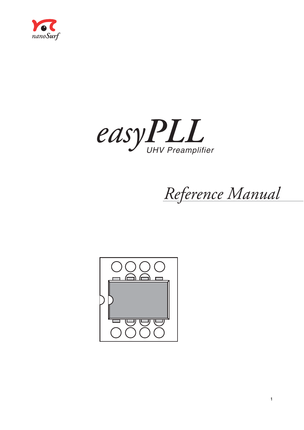



*Reference Manual*

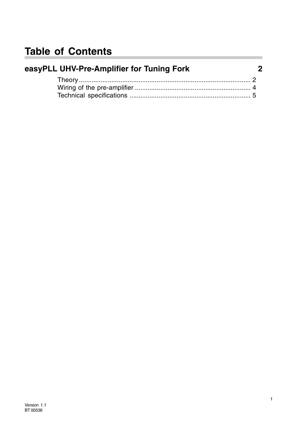## **Table of Contents**

| easyPLL UHV-Pre-Amplifier for Tuning Fork | 2 |
|-------------------------------------------|---|
|                                           |   |
|                                           |   |
|                                           |   |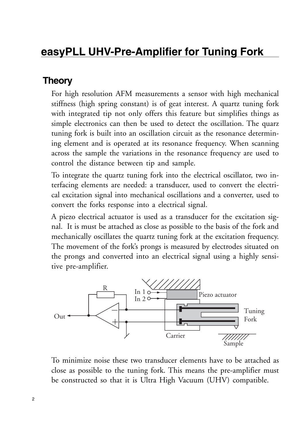## **easyPLL UHV-Pre-Amplifier for Tuning Fork**

#### **Theory**

For high resolution AFM measurements a sensor with high mechanical stiffness (high spring constant) is of geat interest. A quartz tuning fork with integrated tip not only offers this feature but simplifies things as simple electronics can then be used to detect the oscillation. The quarz tuning fork is built into an oscillation circuit as the resonance determining element and is operated at its resonance frequency. When scanning across the sample the variations in the resonance frequency are used to control the distance between tip and sample.

To integrate the quartz tuning fork into the electrical oscillator, two interfacing elements are needed: a transducer, used to convert the electrical excitation signal into mechanical oscillations and a converter, used to convert the forks response into a electrical signal.

A piezo electrical actuator is used as a transducer for the excitation signal. It is must be attached as close as possible to the basis of the fork and mechanically oscillates the quartz tuning fork at the excitation frequency. The movement of the fork's prongs is measured by electrodes situated on the prongs and converted into an electrical signal using a highly sensitive pre-amplifier.



To minimize noise these two transducer elements have to be attached as close as possible to the tuning fork. This means the pre-amplifier must be constructed so that it is Ultra High Vacuum (UHV) compatible.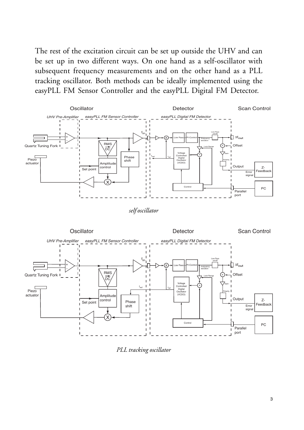The rest of the excitation circuit can be set up outside the UHV and can be set up in two different ways. On one hand as a self-oscillator with subsequent frequency measurements and on the other hand as a PLL tracking oscillator. Both methods can be ideally implemented using the easyPLL FM Sensor Controller and the easyPLL Digital FM Detector.



*self oscillator*



*PLL tracking oscillator*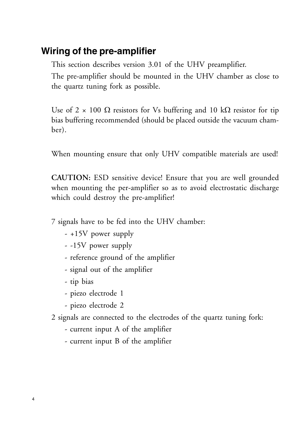### **Wiring of the pre-amplifier**

This section describes version 3.01 of the UHV preamplifier.

The pre-amplifier should be mounted in the UHV chamber as close to the quartz tuning fork as possible.

Use of  $2 \times 100 \Omega$  resistors for Vs buffering and 10 k $\Omega$  resistor for tip bias buffering recommended (should be placed outside the vacuum chamber).

When mounting ensure that only UHV compatible materials are used!

**CAUTION:** ESD sensitive device! Ensure that you are well grounded when mounting the per-amplifier so as to avoid electrostatic discharge which could destroy the pre-amplifier!

7 signals have to be fed into the UHV chamber:

- +15V power supply
- -15V power supply
- reference ground of the amplifier
- signal out of the amplifier
- tip bias
- piezo electrode 1
- piezo electrode 2
- 2 signals are connected to the electrodes of the quartz tuning fork:
	- current input A of the amplifier
	- current input B of the amplifier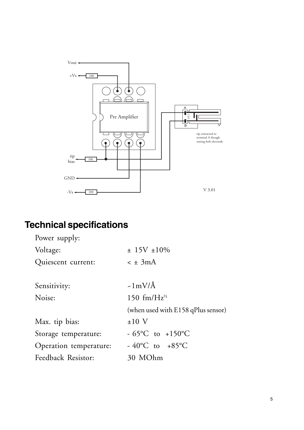

# **Technical specifications**

| ± 15V ± 10%                         |  |  |  |
|-------------------------------------|--|--|--|
| $\leq \pm 3 \text{mA}$              |  |  |  |
|                                     |  |  |  |
| $-1$ mV/Å                           |  |  |  |
| 150 fm/Hz <sup>1/2</sup>            |  |  |  |
| (when used with E158 qPlus sensor)  |  |  |  |
| $±10$ V                             |  |  |  |
| $-65^{\circ}$ C to $+150^{\circ}$ C |  |  |  |
| - 40°C to +85°C                     |  |  |  |
| 30 MOhm                             |  |  |  |
|                                     |  |  |  |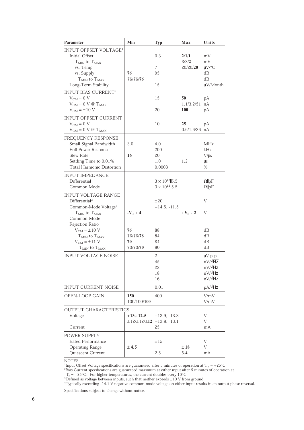| <b>Parameter</b>                  | Min                                               | <b>Typ</b>             | Max        | Units                  |
|-----------------------------------|---------------------------------------------------|------------------------|------------|------------------------|
| INPUT OFFSET VOLTAGE <sup>1</sup> |                                                   |                        |            |                        |
| <b>Initial Offset</b>             |                                                   | 0.3                    | 2/1/1      | mV                     |
| $T_{MIN}$ to $T_{MAX}$            |                                                   |                        | 3/2/2      | mV                     |
|                                   |                                                   | 7                      | 20/20/20   | µV/°C                  |
| vs. Temp<br>vs. Supply            | 76                                                | 95                     |            | dВ                     |
| $T_{MIN}$ to $T_{MAX}$            | 76/76/76                                          |                        |            | dВ                     |
| Long-Term Stability               |                                                   | 15                     |            | $\mu$ V/Month          |
|                                   |                                                   |                        |            |                        |
| INPUT BIAS CURRENT <sup>2</sup>   |                                                   |                        |            |                        |
| $V_{CM} = 0 V$                    |                                                   | 15                     | 50         | рA                     |
| $V_{CM} = 0 V @ T_{MAX}$          |                                                   |                        | 1.1/3.2/51 | nA                     |
| $VCM = \pm 10 V$                  |                                                   | 20                     | <b>100</b> | рA                     |
| <b>INPUT OFFSET CURRENT</b>       |                                                   |                        |            |                        |
| $V_{CM} = 0 V$                    |                                                   | 10                     | 25         | рA                     |
| $V_{CM} = 0 V @ T_{MAX}$          |                                                   |                        | 0.6/1.6/26 | nA                     |
| FREQUENCY RESPONSE                |                                                   |                        |            |                        |
| Small Signal Bandwidth            | 3.0                                               | 4.0                    |            | MHz                    |
| <b>Full Power Response</b>        |                                                   | 200                    |            | kHz                    |
| Slew Rate                         | 16                                                | 20                     |            | V/us                   |
| Settling Time to 0.01%            |                                                   | 1.0                    | 1.2        | μs                     |
| <b>Total Harmonic Distortion</b>  |                                                   | 0.0003                 |            | %                      |
|                                   |                                                   |                        |            |                        |
| <b>INPUT IMPEDANCE</b>            |                                                   |                        |            |                        |
| Differential                      |                                                   | $3 \times 10^{12}$ 5.5 |            | $\Omega$ <sub>pF</sub> |
| Common Mode                       |                                                   | $3 \times 10^{12}$ 5.5 |            | $\Omega$  pF           |
| <b>INPUT VOLTAGE RANGE</b>        |                                                   |                        |            |                        |
| Differential <sup>3</sup>         |                                                   | ±20                    |            | V                      |
| Common-Mode Voltage <sup>4</sup>  |                                                   | $+14.5, -11.5$         |            |                        |
| $T_{MIN}$ to $T_{MAX}$            | $-V_s + 4$                                        |                        | $+V_S - 2$ | V                      |
| Common-Mode                       |                                                   |                        |            |                        |
| Rejection Ratio                   |                                                   |                        |            |                        |
| $V_{CM} = \pm 10$ V               | 76                                                | 88                     |            | dВ                     |
| $T_{MIN}$ to $T_{MAX}$            | 76/76/76                                          | 84                     |            | dВ                     |
| $V_{CM} = \pm 11$ V               | 70                                                | 84                     |            | dВ                     |
| $T_{MIN}$ to $T_{MAX}$            | 70/70/70                                          | 80                     |            | dВ                     |
| <b>INPUT VOLTAGE NOISE</b>        |                                                   | 2                      |            | $\mu V$ p-p            |
|                                   |                                                   | 45                     |            | $nV/\sqrt{Hz}$         |
|                                   |                                                   | 22                     |            | $nV/\sqrt{Hz}$         |
|                                   |                                                   | 18                     |            | $nV/\sqrt{Hz}$         |
|                                   |                                                   | 16                     |            | $nV/\sqrt{Hz}$         |
| <b>INPUT CURRENT NOISE</b>        |                                                   | 0.01                   |            | $pA/\sqrt{Hz}$         |
| OPEN-LOOP GAIN                    | 150                                               | 400                    |            | V/mV                   |
|                                   | 100/100/100                                       |                        |            | V/mV                   |
| <b>OUTPUT CHARACTERISTICS</b>     |                                                   |                        |            |                        |
| Voltage                           | $+13,-12.5$                                       | $+13.9, -13.3$         |            | V                      |
|                                   | $\pm$ 12/ $\pm$ 12/ $\pm$ <b>12</b> + 13.8, -13.1 |                        |            | V                      |
| Current                           |                                                   | 25                     |            | mA                     |
| POWER SUPPLY                      |                                                   |                        |            |                        |
| Rated Performance                 |                                                   | ±15                    |            | V                      |
| <b>Operating Range</b>            | ± 4.5                                             |                        | ± 18       | V                      |
| Quiescent Current                 |                                                   | 2.5                    | 3.4        | mA                     |
|                                   |                                                   |                        |            |                        |

NOTES

 $^1$ Input Offset Voltage specifications are guaranteed after 5 minutes of operation at T<sub>A</sub> = +25°C.<br><sup>2</sup>Bias Current specifications are guaranteed maximum at either input after 5 minutes of operation at

 $\hat{A}_{A}$  = +25°C. For higher temperatures, the current doubles every 10°C. T

3Defined as voltage between inputs, such that neither exceeds ±10 V from ground. 4 Typically exceeding -14.1 V negative common-mode voltage on either input results in an output phase reversal.

Specifications subject to change without notice.